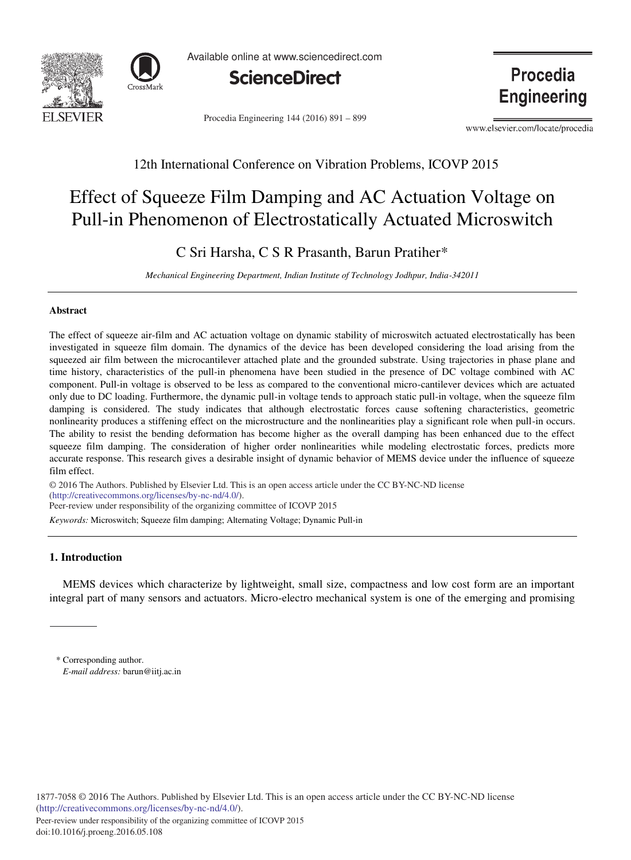



Available online at www.sciencedirect.com



Procedia Engineering 144 (2016) 891 - 899

**Procedia Engineering** 

www.elsevier.com/locate/procedia

# 12th International Conference on Vibration Problems, ICOVP 2015

# Effect of Squeeze Film Damping and AC Actuation Voltage on Pull-in Phenomenon of Electrostatically Actuated Microswitch

C Sri Harsha, C S R Prasanth, Barun Pratiher\*

*Mechanical Engineering Department, Indian Institute of Technology Jodhpur, India-342011*

# **Abstract**

The effect of squeeze air-film and AC actuation voltage on dynamic stability of microswitch actuated electrostatically has been investigated in squeeze film domain. The dynamics of the device has been developed considering the load arising from the squeezed air film between the microcantilever attached plate and the grounded substrate. Using trajectories in phase plane and time history, characteristics of the pull-in phenomena have been studied in the presence of DC voltage combined with AC component. Pull-in voltage is observed to be less as compared to the conventional micro-cantilever devices which are actuated only due to DC loading. Furthermore, the dynamic pull-in voltage tends to approach static pull-in voltage, when the squeeze film damping is considered. The study indicates that although electrostatic forces cause softening characteristics, geometric nonlinearity produces a stiffening effect on the microstructure and the nonlinearities play a significant role when pull-in occurs. The ability to resist the bending deformation has become higher as the overall damping has been enhanced due to the effect squeeze film damping. The consideration of higher order nonlinearities while modeling electrostatic forces, predicts more accurate response. This research gives a desirable insight of dynamic behavior of MEMS device under the influence of squeeze film effect.

© 2016 The Authors. Published by Elsevier Ltd. © 2016 The Authors. Published by Elsevier Ltd. This is an open access article under the CC BY-NC-ND license (http://creativecommons.org/licenses/by-nc-nd/4.0/). *Keywords:* Microswitch; Squeeze film damping; Alternating Voltage; Dynamic Pull-in Peer-review under responsibility of the organizing committee of ICOVP 2015

# **1. Introduction**

MEMS devices which characterize by lightweight, small size, compactness and low cost form are an important integral part of many sensors and actuators. Micro-electro mechanical system is one of the emerging and promising

<sup>\*</sup> Corresponding author. *E-mail address:* barun@iitj.ac.in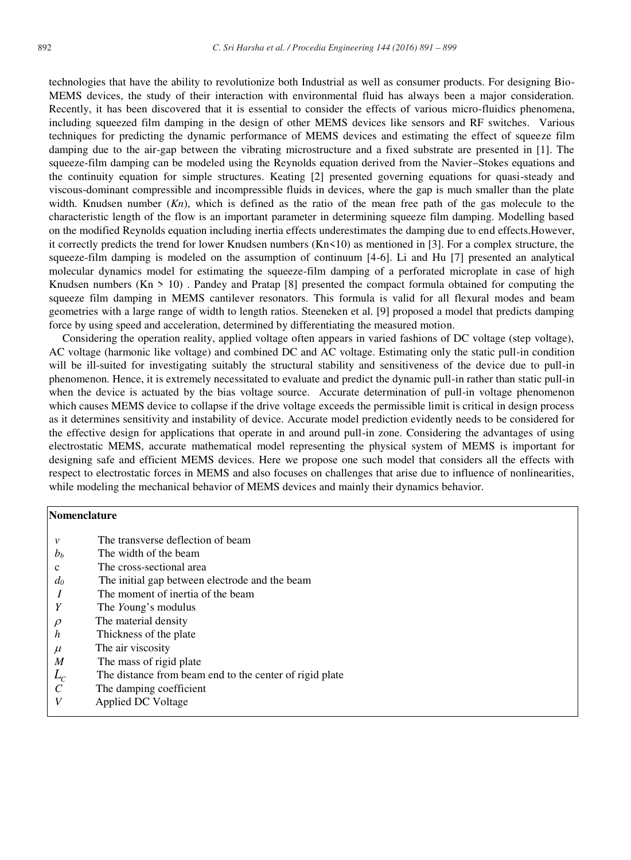technologies that have the ability to revolutionize both Industrial as well as consumer products. For designing Bio-MEMS devices, the study of their interaction with environmental fluid has always been a major consideration. Recently, it has been discovered that it is essential to consider the effects of various micro-fluidics phenomena, including squeezed film damping in the design of other MEMS devices like sensors and RF switches. Various techniques for predicting the dynamic performance of MEMS devices and estimating the effect of squeeze film damping due to the air-gap between the vibrating microstructure and a fixed substrate are presented in [1]. The squeeze-film damping can be modeled using the Reynolds equation derived from the Navier–Stokes equations and the continuity equation for simple structures. Keating [2] presented governing equations for quasi-steady and viscous-dominant compressible and incompressible fluids in devices, where the gap is much smaller than the plate width. Knudsen number (*Kn*), which is defined as the ratio of the mean free path of the gas molecule to the characteristic length of the flow is an important parameter in determining squeeze film damping. Modelling based on the modified Reynolds equation including inertia effects underestimates the damping due to end effects.However, it correctly predicts the trend for lower Knudsen numbers (Kn<10) as mentioned in [3]. For a complex structure, the squeeze-film damping is modeled on the assumption of continuum [4-6]. Li and Hu [7] presented an analytical molecular dynamics model for estimating the squeeze-film damping of a perforated microplate in case of high Knudsen numbers (Kn  $> 10$ ). Pandey and Pratap [8] presented the compact formula obtained for computing the squeeze film damping in MEMS cantilever resonators. This formula is valid for all flexural modes and beam geometries with a large range of width to length ratios. Steeneken et al. [9] proposed a model that predicts damping force by using speed and acceleration, determined by differentiating the measured motion.

Considering the operation reality, applied voltage often appears in varied fashions of DC voltage (step voltage), AC voltage (harmonic like voltage) and combined DC and AC voltage. Estimating only the static pull-in condition will be ill-suited for investigating suitably the structural stability and sensitiveness of the device due to pull-in phenomenon. Hence, it is extremely necessitated to evaluate and predict the dynamic pull-in rather than static pull-in when the device is actuated by the bias voltage source. Accurate determination of pull-in voltage phenomenon which causes MEMS device to collapse if the drive voltage exceeds the permissible limit is critical in design process as it determines sensitivity and instability of device. Accurate model prediction evidently needs to be considered for the effective design for applications that operate in and around pull-in zone. Considering the advantages of using electrostatic MEMS, accurate mathematical model representing the physical system of MEMS is important for designing safe and efficient MEMS devices. Here we propose one such model that considers all the effects with respect to electrostatic forces in MEMS and also focuses on challenges that arise due to influence of nonlinearities, while modeling the mechanical behavior of MEMS devices and mainly their dynamics behavior.

# **Nomenclature**

- *v* The transverse deflection of beam
- $b<sub>b</sub>$  The width of the beam
- c The cross-sectional area
- *d*<sup>0</sup> The initial gap between electrode and the beam
- *I* The moment of inertia of the beam
- *Y* The *Y*oung's modulus
- $\rho$  The material density
- *h* **Thickness of the plate**
- $\mu$  The air viscosity
- *M* The mass of rigid plate
- *LC* The distance from beam end to the center of rigid plate
- The damping coefficient
- *V* Applied DC Voltage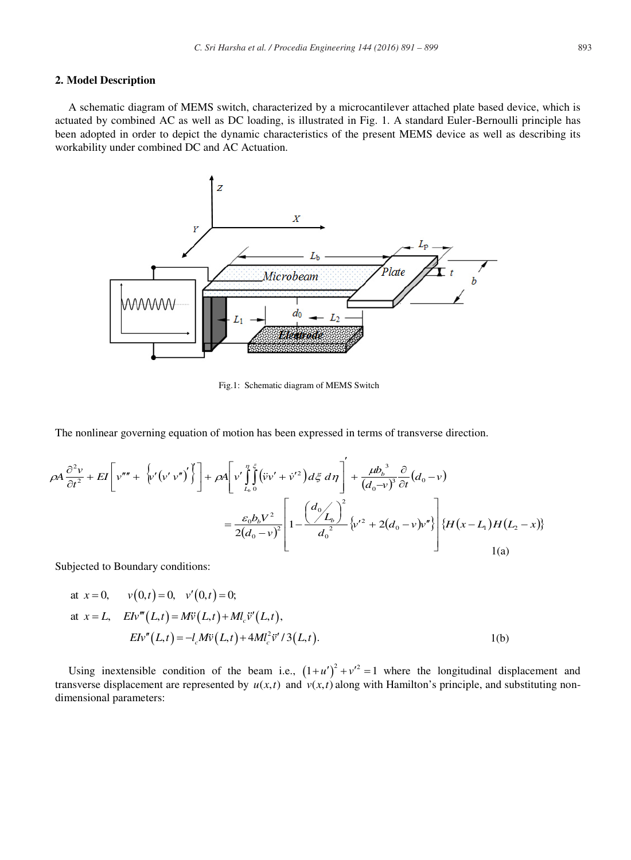## **2. Model Description**

A schematic diagram of MEMS switch, characterized by a microcantilever attached plate based device, which is actuated by combined AC as well as DC loading, is illustrated in Fig. 1. A standard Euler-Bernoulli principle has been adopted in order to depict the dynamic characteristics of the present MEMS device as well as describing its workability under combined DC and AC Actuation.



Fig.1: Schematic diagram of MEMS Switch

The nonlinear governing equation of motion has been expressed in terms of transverse direction.

$$
\rho A \frac{\partial^2 v}{\partial t^2} + EI \left[ v'''' + \psi'(v'v'') \right] + \rho A \left[ v' \int_{L_b}^{\pi} \int_0^{\xi} (\dot{v}v' + \dot{v}'^2) d\xi d\eta \right]' + \frac{\mu b_b^3}{(d_0 - v)^3} \frac{\partial}{\partial t} (d_0 - v)
$$
  

$$
= \frac{\varepsilon_0 b_b V^2}{2(d_0 - v)^2} \left[ 1 - \frac{\left(\frac{d_0}{L_b}\right)^2}{d_0^2} \left\{ v'^2 + 2(d_0 - v) v'' \right\} \right] \left\{ H(x - L_1) H(L_2 - x) \right\}
$$

Subjected to Boundary conditions:

at 
$$
x = 0
$$
,  $v(0,t) = 0$ ,  $v'(0,t) = 0$ ;  
at  $x = L$ ,  $Elv'''(L,t) = M\ddot{v}(L,t) + Ml_c\ddot{v}'(L,t)$ ,  
 $Elv''(L,t) = -l_cM\dot{v}(L,t) + 4M_c^2\ddot{v}'/3(L,t)$ .  
1(b)

Using inextensible condition of the beam i.e.,  $(1+u')^2 + v'^2 = 1$  where the longitudinal displacement and transverse displacement are represented by  $u(x,t)$  and  $v(x,t)$  along with Hamilton's principle, and substituting nondimensional parameters: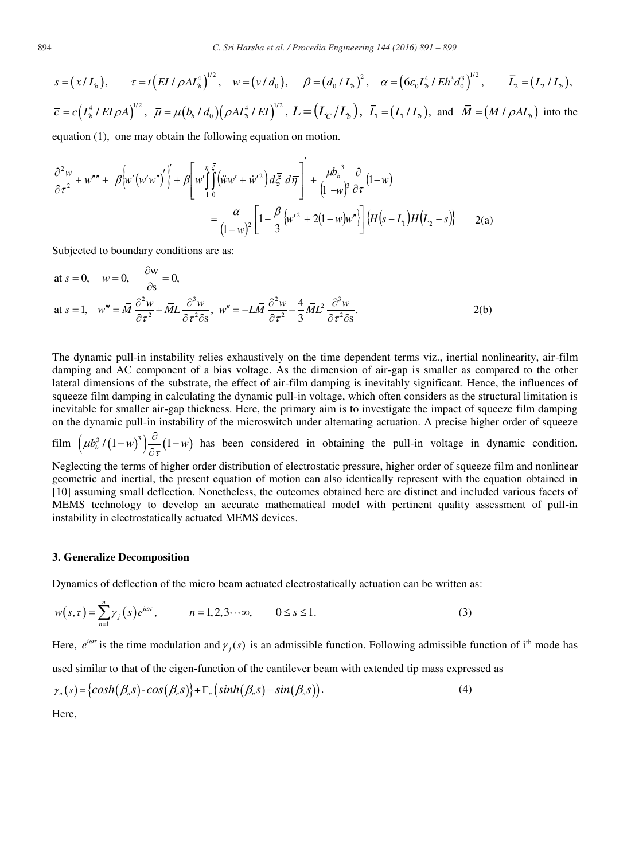$$
s = (x/L_b), \qquad \tau = t (EI / \rho A L_b^4)^{1/2}, \qquad w = (v/d_0), \qquad \beta = (d_0 / L_b)^2, \qquad \alpha = (6\varepsilon_0 L_b^4 / Eh^3 d_0^3)^{1/2}, \qquad \overline{L}_2 = (L_2 / L_b),
$$

 $\bar{c} = c(L_b^4 / EI\rho A)^{1/2}$ ,  $\bar{\mu} = \mu(b_b / d_0) (\rho A L_b^4 / EI)^{1/2}$ ,  $L = (L_c / L_b)$ ,  $\bar{L}_1 = (L_1 / L_b)$ , and  $\bar{M} = (M / \rho A L_b)$  into the

equation (1), one may obtain the following equation on motion.

$$
\frac{\partial^2 w}{\partial \tau^2} + w'''' + \beta \left[ w' \left( w'w'' \right)' \right] + \beta \left[ w' \int_1^{\overline{\eta}} \int_0^{\overline{z}} \left( \dot{w}w' + \dot{w}'^2 \right) d\overline{\xi} d\overline{\eta} \right]' + \frac{\mu b_b^3}{\left( 1 - w \right)^3} \frac{\partial}{\partial \tau} (1 - w)
$$

$$
= \frac{\alpha}{\left( 1 - w \right)^2} \left[ 1 - \frac{\beta}{3} \left\{ w'^2 + 2(1 - w)w'' \right\} \right] \left\{ H \left( s - \overline{L}_1 \right) H \left( \overline{L}_2 - s \right) \right\} \tag{2(a)}
$$

Subjected to boundary conditions are as:

at 
$$
s = 0
$$
,  $w = 0$ ,  $\frac{\partial w}{\partial s} = 0$ ,  
at  $s = 1$ ,  $w''' = M \frac{\partial^2 w}{\partial \tau^2} + M L \frac{\partial^3 w}{\partial \tau^2 \partial s}$ ,  $w'' = -L M \frac{\partial^2 w}{\partial \tau^2} - \frac{4}{3} M L^2 \frac{\partial^3 w}{\partial \tau^2 \partial s}$ . (2(b)

The dynamic pull-in instability relies exhaustively on the time dependent terms viz., inertial nonlinearity, air-film damping and AC component of a bias voltage. As the dimension of air-gap is smaller as compared to the other lateral dimensions of the substrate, the effect of air-film damping is inevitably significant. Hence, the influences of squeeze film damping in calculating the dynamic pull-in voltage, which often considers as the structural limitation is inevitable for smaller air-gap thickness. Here, the primary aim is to investigate the impact of squeeze film damping on the dynamic pull-in instability of the microswitch under alternating actuation. A precise higher order of squeeze

film  $\left(\overline{\mu}b_b^3/(1-w)^3\right)\frac{\partial}{\partial\tau}(1-w)$  $(-w)^3 \left( \frac{\partial}{\partial \tau} (1-w) \right)$  has been considered in obtaining the pull-in voltage in dynamic condition.

Neglecting the terms of higher order distribution of electrostatic pressure, higher order of squeeze film and nonlinear geometric and inertial, the present equation of motion can also identically represent with the equation obtained in [10] assuming small deflection. Nonetheless, the outcomes obtained here are distinct and included various facets of MEMS technology to develop an accurate mathematical model with pertinent quality assessment of pull-in instability in electrostatically actuated MEMS devices.

#### **3. Generalize Decomposition**

Dynamics of deflection of the micro beam actuated electrostatically actuation can be written as:

$$
w(s,\tau) = \sum_{n=1}^{n} \gamma_j(s) e^{i\omega \tau}, \qquad n = 1, 2, 3 \cdots \infty, \qquad 0 \le s \le 1.
$$
 (3)

Here,  $e^{i\omega\tau}$  is the time modulation and  $\gamma_j(s)$  is an admissible function. Following admissible function of i<sup>th</sup> mode has

used similar to that of the eigen-function of the cantilever beam with extended tip mass expressed as

$$
\gamma_n(s) = \{cosh(\beta_n s) \cdot cos(\beta_n s)\} + \Gamma_n\left(sinh(\beta_n s) - sin(\beta_n s)\right). \tag{4}
$$

Here,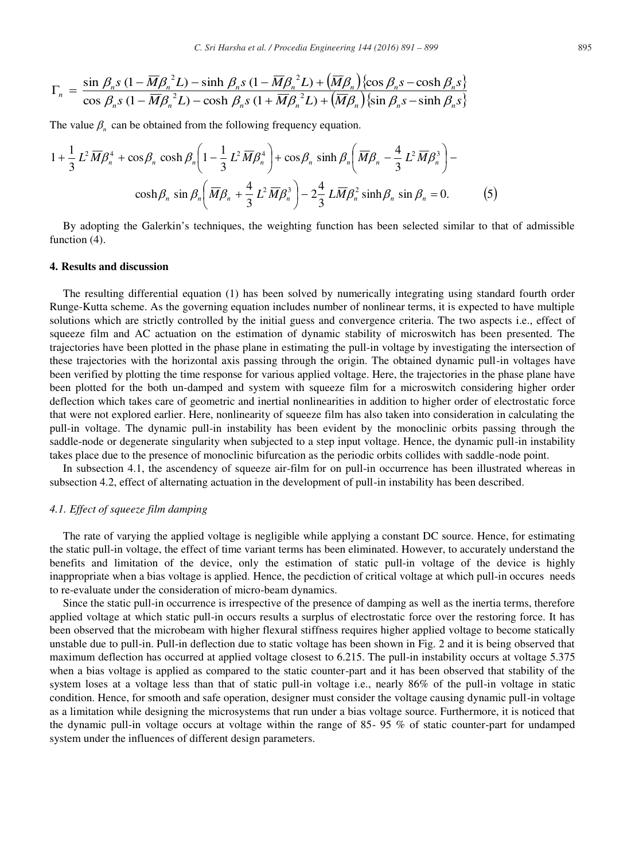$$
\Gamma_n = \frac{\sin \beta_n s \left(1 - \overline{M} \beta_n^2 L\right) - \sinh \beta_n s \left(1 - \overline{M} \beta_n^2 L\right) + \left(\overline{M} \beta_n\right) \left\{ \cos \beta_n s - \cosh \beta_n s \right\}}{\cos \beta_n s \left(1 - \overline{M} \beta_n^2 L\right) - \cosh \beta_n s \left(1 + \overline{M} \beta_n^2 L\right) + \left(\overline{M} \beta_n\right) \left\{ \sin \beta_n s - \sinh \beta_n s \right\}}
$$

The value  $\beta_n$  can be obtained from the following frequency equation.

$$
1 + \frac{1}{3} L^2 \overline{M} \beta_n^4 + \cos \beta_n \cosh \beta_n \left( 1 - \frac{1}{3} L^2 \overline{M} \beta_n^4 \right) + \cos \beta_n \sinh \beta_n \left( \overline{M} \beta_n - \frac{4}{3} L^2 \overline{M} \beta_n^3 \right) - \cosh \beta_n \sin \beta_n \left( \overline{M} \beta_n + \frac{4}{3} L^2 \overline{M} \beta_n^3 \right) - 2 \frac{4}{3} L \overline{M} \beta_n^2 \sinh \beta_n \sin \beta_n = 0.
$$
 (5)

By adopting the Galerkin's techniques, the weighting function has been selected similar to that of admissible function  $(4)$ .

#### **4. Results and discussion**

The resulting differential equation (1) has been solved by numerically integrating using standard fourth order Runge-Kutta scheme. As the governing equation includes number of nonlinear terms, it is expected to have multiple solutions which are strictly controlled by the initial guess and convergence criteria. The two aspects i.e., effect of squeeze film and AC actuation on the estimation of dynamic stability of microswitch has been presented. The trajectories have been plotted in the phase plane in estimating the pull-in voltage by investigating the intersection of these trajectories with the horizontal axis passing through the origin. The obtained dynamic pull-in voltages have been verified by plotting the time response for various applied voltage. Here, the trajectories in the phase plane have been plotted for the both un-damped and system with squeeze film for a microswitch considering higher order deflection which takes care of geometric and inertial nonlinearities in addition to higher order of electrostatic force that were not explored earlier. Here, nonlinearity of squeeze film has also taken into consideration in calculating the pull-in voltage. The dynamic pull-in instability has been evident by the monoclinic orbits passing through the saddle-node or degenerate singularity when subjected to a step input voltage. Hence, the dynamic pull-in instability takes place due to the presence of monoclinic bifurcation as the periodic orbits collides with saddle-node point.

In subsection 4.1, the ascendency of squeeze air-film for on pull-in occurrence has been illustrated whereas in subsection 4.2, effect of alternating actuation in the development of pull-in instability has been described.

#### *4.1. Effect of squeeze film damping*

The rate of varying the applied voltage is negligible while applying a constant DC source. Hence, for estimating the static pull-in voltage, the effect of time variant terms has been eliminated. However, to accurately understand the benefits and limitation of the device, only the estimation of static pull-in voltage of the device is highly inappropriate when a bias voltage is applied. Hence, the pecdiction of critical voltage at which pull-in occures needs to re-evaluate under the consideration of micro-beam dynamics.

Since the static pull-in occurrence is irrespective of the presence of damping as well as the inertia terms, therefore applied voltage at which static pull-in occurs results a surplus of electrostatic force over the restoring force. It has been observed that the microbeam with higher flexural stiffness requires higher applied voltage to become statically unstable due to pull-in. Pull-in deflection due to static voltage has been shown in Fig. 2 and it is being observed that maximum deflection has occurred at applied voltage closest to 6.215. The pull-in instability occurs at voltage 5.375 when a bias voltage is applied as compared to the static counter-part and it has been observed that stability of the system loses at a voltage less than that of static pull-in voltage i.e., nearly 86% of the pull-in voltage in static condition. Hence, for smooth and safe operation, designer must consider the voltage causing dynamic pull-in voltage as a limitation while designing the microsystems that run under a bias voltage source. Furthermore, it is noticed that the dynamic pull-in voltage occurs at voltage within the range of 85- 95 % of static counter-part for undamped system under the influences of different design parameters.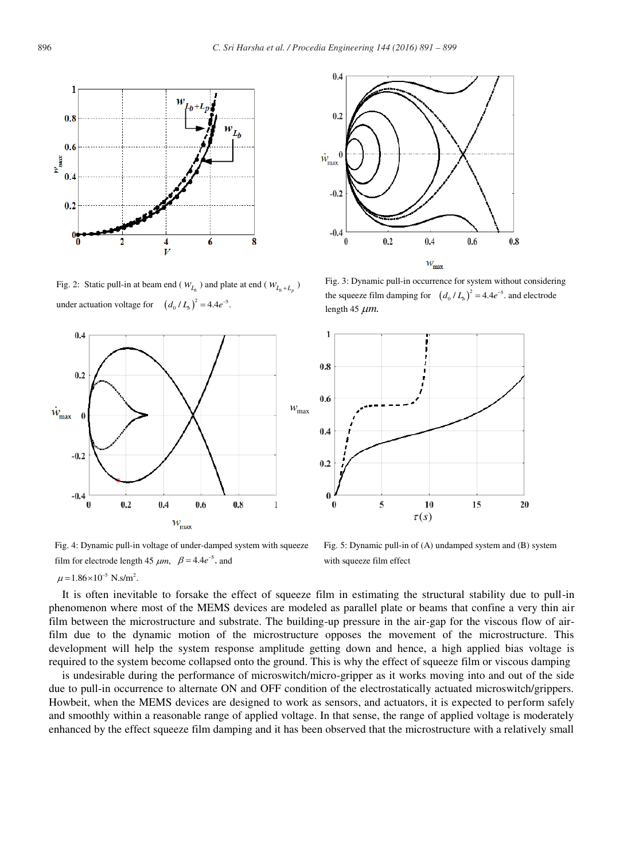

Fig. 2: Static pull-in at beam end ( $W_{L_b}$ ) and plate at end ( $W_{L_b + L_p}$ ) under actuation voltage for  $d_0 / L_b$  $)^2 = 4.4e^{-5}$ .



Fig. 4: Dynamic pull-in voltage of under-damped system with squeeze film for electrode length 45  $\mu$ m,  $\beta = 4.4 e^{-5}$ , and



Fig. 3: Dynamic pull-in occurrence for system without considering the squeeze film damping for  $(d_0/L_b)^2 = 4.4e^{-5}$ , and electrode length  $45 \mu m$ .



Fig. 5: Dynamic pull-in of (A) undamped system and (B) system with squeeze film effect

 $\mu = 1.86 \times 10^{-5} \text{ N.s/m}^2$ .

It is often inevitable to forsake the effect of squeeze film in estimating the structural stability due to pull-in phenomenon where most of the MEMS devices are modeled as parallel plate or beams that confine a very thin air film between the microstructure and substrate. The building-up pressure in the air-gap for the viscous flow of airfilm due to the dynamic motion of the microstructure opposes the movement of the microstructure. This development will help the system response amplitude getting down and hence, a high applied bias voltage is required to the system become collapsed onto the ground. This is why the effect of squeeze film or viscous damping

is undesirable during the performance of microswitch/micro-gripper as it works moving into and out of the side due to pull-in occurrence to alternate ON and OFF condition of the electrostatically actuated microswitch/grippers. Howbeit, when the MEMS devices are designed to work as sensors, and actuators, it is expected to perform safely and smoothly within a reasonable range of applied voltage. In that sense, the range of applied voltage is moderately enhanced by the effect squeeze film damping and it has been observed that the microstructure with a relatively small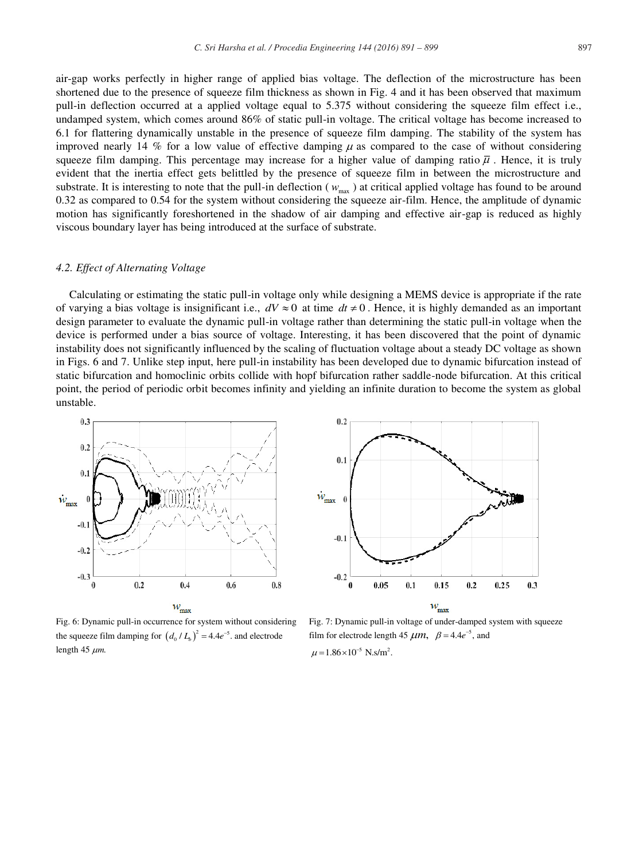air-gap works perfectly in higher range of applied bias voltage. The deflection of the microstructure has been shortened due to the presence of squeeze film thickness as shown in Fig. 4 and it has been observed that maximum pull-in deflection occurred at a applied voltage equal to 5.375 without considering the squeeze film effect i.e., undamped system, which comes around 86% of static pull-in voltage. The critical voltage has become increased to 6.1 for flattering dynamically unstable in the presence of squeeze film damping. The stability of the system has improved nearly 14 % for a low value of effective damping  $\mu$  as compared to the case of without considering squeeze film damping. This percentage may increase for a higher value of damping ratio  $\bar{\mu}$ . Hence, it is truly evident that the inertia effect gets belittled by the presence of squeeze film in between the microstructure and substrate. It is interesting to note that the pull-in deflection  $(w_{\text{max}})$  at critical applied voltage has found to be around 0.32 as compared to 0.54 for the system without considering the squeeze air-film. Hence, the amplitude of dynamic motion has significantly foreshortened in the shadow of air damping and effective air-gap is reduced as highly viscous boundary layer has being introduced at the surface of substrate.

# *4.2. Effect of Alternating Voltage*

Calculating or estimating the static pull-in voltage only while designing a MEMS device is appropriate if the rate of varying a bias voltage is insignificant i.e.,  $dV \approx 0$  at time  $dt \neq 0$ . Hence, it is highly demanded as an important design parameter to evaluate the dynamic pull-in voltage rather than determining the static pull-in voltage when the device is performed under a bias source of voltage. Interesting, it has been discovered that the point of dynamic instability does not significantly influenced by the scaling of fluctuation voltage about a steady DC voltage as shown in Figs. 6 and 7. Unlike step input, here pull-in instability has been developed due to dynamic bifurcation instead of static bifurcation and homoclinic orbits collide with hopf bifurcation rather saddle-node bifurcation. At this critical point, the period of periodic orbit becomes infinity and yielding an infinite duration to become the system as global unstable.





Fig. 6: Dynamic pull-in occurrence for system without considering the squeeze film damping for  $(d_0/L_b)^2 = 4.4e^{-5}$ . and electrode length  $45 \mu m$ .

Fig. 7: Dynamic pull-in voltage of under-damped system with squeeze film for electrode length 45  $\mu$ m,  $\beta = 4.4e^{-5}$ , and

 $\mu = 1.86 \times 10^{-5}$  N.s/m<sup>2</sup>.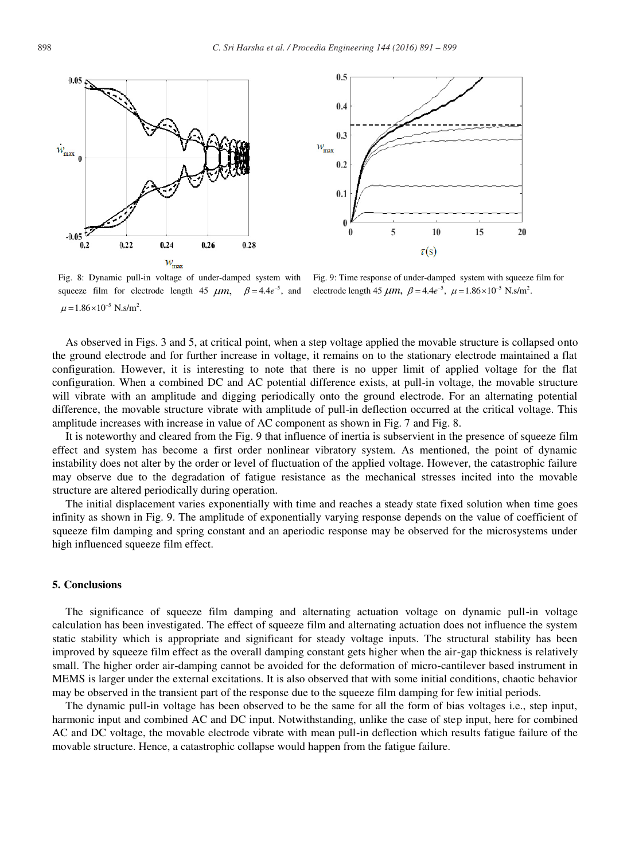



Fig. 8: Dynamic pull-in voltage of under-damped system with squeeze film for electrode length 45  $\mu$ m,  $\beta = 4.4e^{-5}$ , and  $\mu = 1.86 \times 10^{-5} \text{ N.s/m}^2$ .

Fig. 9: Time response of under-damped system with squeeze film for electrode length 45  $\mu$ m,  $\beta = 4.4 e^{-5}$ ,  $\mu = 1.86 \times 10^{-5}$  N.s/m<sup>2</sup>.

As observed in Figs. 3 and 5, at critical point, when a step voltage applied the movable structure is collapsed onto the ground electrode and for further increase in voltage, it remains on to the stationary electrode maintained a flat configuration. However, it is interesting to note that there is no upper limit of applied voltage for the flat configuration. When a combined DC and AC potential difference exists, at pull-in voltage, the movable structure will vibrate with an amplitude and digging periodically onto the ground electrode. For an alternating potential difference, the movable structure vibrate with amplitude of pull-in deflection occurred at the critical voltage. This amplitude increases with increase in value of AC component as shown in Fig. 7 and Fig. 8.

It is noteworthy and cleared from the Fig. 9 that influence of inertia is subservient in the presence of squeeze film effect and system has become a first order nonlinear vibratory system. As mentioned, the point of dynamic instability does not alter by the order or level of fluctuation of the applied voltage. However, the catastrophic failure may observe due to the degradation of fatigue resistance as the mechanical stresses incited into the movable structure are altered periodically during operation.

The initial displacement varies exponentially with time and reaches a steady state fixed solution when time goes infinity as shown in Fig. 9. The amplitude of exponentially varying response depends on the value of coefficient of squeeze film damping and spring constant and an aperiodic response may be observed for the microsystems under high influenced squeeze film effect.

# **5. Conclusions**

The significance of squeeze film damping and alternating actuation voltage on dynamic pull-in voltage calculation has been investigated. The effect of squeeze film and alternating actuation does not influence the system static stability which is appropriate and significant for steady voltage inputs. The structural stability has been improved by squeeze film effect as the overall damping constant gets higher when the air-gap thickness is relatively small. The higher order air-damping cannot be avoided for the deformation of micro-cantilever based instrument in MEMS is larger under the external excitations. It is also observed that with some initial conditions, chaotic behavior may be observed in the transient part of the response due to the squeeze film damping for few initial periods.

The dynamic pull-in voltage has been observed to be the same for all the form of bias voltages i.e., step input, harmonic input and combined AC and DC input. Notwithstanding, unlike the case of step input, here for combined AC and DC voltage, the movable electrode vibrate with mean pull-in deflection which results fatigue failure of the movable structure. Hence, a catastrophic collapse would happen from the fatigue failure.